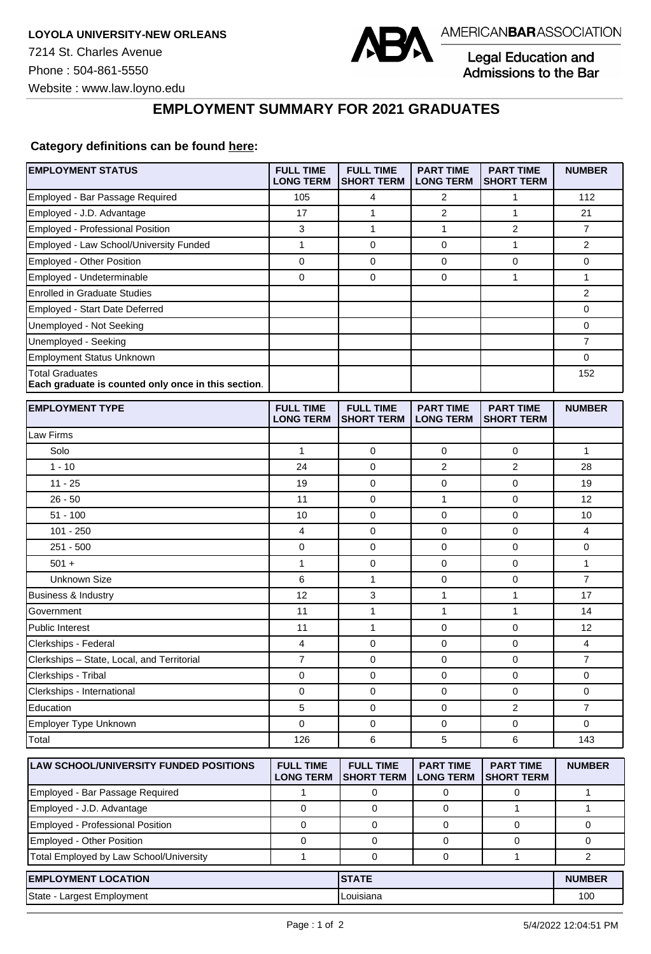

Legal Education and Admissions to the Bar

## **EMPLOYMENT SUMMARY FOR 2021 GRADUATES**

## **Category definitions can be found [here:](https://www.americanbar.org/content/dam/aba/administrative/legal_education_and_admissions_to_the_bar/Questionnaires/2021/2022-employment-protocols-for-the-class-of-2021-september-2021.pdf)**

| Employed - Bar Passage Required<br>105<br>2<br>1<br>112<br>4<br>17<br>1<br>2<br>$\mathbf{1}$<br>Employed - J.D. Advantage<br>21<br>Employed - Professional Position<br>3<br>$\mathbf{1}$<br>1<br>$\overline{2}$<br>$\overline{7}$<br>Employed - Law School/University Funded<br>$\mathbf{1}$<br>$\mathbf{1}$<br>0<br>0<br>2<br>$\mathbf 0$<br>$\mathbf{0}$<br>Employed - Other Position<br>$\mathbf 0$<br>0<br>0<br>$\mathbf{1}$<br>$\mathbf 0$<br>0<br>0<br>$\mathbf{1}$<br>Employed - Undeterminable<br><b>Enrolled in Graduate Studies</b><br>$\overline{2}$<br>Employed - Start Date Deferred<br>0<br>Unemployed - Not Seeking<br>0<br>$\overline{7}$<br>Unemployed - Seeking<br><b>Employment Status Unknown</b><br>0<br><b>Total Graduates</b><br>152<br>Each graduate is counted only once in this section.<br><b>EMPLOYMENT TYPE</b><br><b>FULL TIME</b><br><b>FULL TIME</b><br><b>PART TIME</b><br><b>PART TIME</b><br><b>NUMBER</b><br><b>LONG TERM</b><br><b>SHORT TERM</b><br><b>LONG TERM</b><br><b>SHORT TERM</b><br>Law Firms<br>$\mathbf{1}$<br>Solo<br>$\mathbf{1}$<br>0<br>0<br>0<br>$1 - 10$<br>24<br>$\overline{2}$<br>0<br>2<br>28<br>0<br>$\mathbf 0$<br>$11 - 25$<br>19<br>0<br>19<br>0<br>$\mathbf 0$<br>$26 - 50$<br>11<br>1<br>12<br>$51 - 100$<br>0<br>0<br>10<br>0<br>10<br>$101 - 250$<br>4<br>0<br>$\mathbf 0$<br>0<br>4<br>$251 - 500$<br>$\mathbf 0$<br>0<br>0<br>0<br>0<br>$501 +$<br>$\mathbf{1}$<br>0<br>$\mathbf 0$<br>$\mathbf 0$<br>$\mathbf{1}$<br>1<br>$\overline{7}$<br><b>Unknown Size</b><br>6<br>$\mathbf 0$<br>0<br>3<br>$\mathbf{1}$<br>12<br>1<br><b>Business &amp; Industry</b><br>17<br>1<br>$\mathbf{1}$<br>Government<br>11<br>1<br>14<br>1<br><b>Public Interest</b><br>0<br>0<br>12<br>11<br>4<br>0<br>$\mathbf 0$<br>4<br>Clerkships - Federal<br>0<br>$\boldsymbol{7}$<br>0<br>0<br>Clerkships - State, Local, and Territorial<br>0<br>7<br>Clerkships - Tribal<br>$\mathbf 0$<br>0<br>$\mathbf 0$<br>0<br>0<br>0<br>$\mathbf 0$<br>Clerkships - International<br>0<br>0<br>0<br>Education<br>5<br>0<br>2<br>$\overline{7}$<br>0<br>$\Omega$<br>0<br>Employer Type Unknown<br>0<br>0<br>$\mathbf 0$<br>6<br>5<br>6<br>Total<br>126<br>143<br><b>FULL TIME</b><br><b>FULL TIME</b><br><b>PART TIME</b><br><b>LAW SCHOOL/UNIVERSITY FUNDED POSITIONS</b><br><b>PART TIME</b><br><b>NUMBER</b><br><b>LONG TERM</b><br><b>SHORT TERM</b><br><b>LONG TERM</b><br><b>SHORT TERM</b><br>Employed - Bar Passage Required<br>1<br>0<br>0<br>0<br>$\mathbf{1}$<br>Employed - J.D. Advantage<br>$\mathbf 0$<br>$\mathbf 0$<br>$\mathbf{1}$<br>$\mathbf{1}$<br>0<br>Employed - Professional Position<br>$\mathbf 0$<br>0<br>$\mathbf 0$<br>0<br>0<br>Employed - Other Position<br>0<br>0<br>0<br>0<br>0<br>Total Employed by Law School/University<br>2<br>1<br>0<br>0<br>$\mathbf{1}$<br><b>EMPLOYMENT LOCATION</b><br><b>STATE</b><br><b>NUMBER</b><br>State - Largest Employment<br>100<br>Louisiana | <b>EMPLOYMENT STATUS</b> | <b>FULL TIME</b><br><b>LONG TERM</b> | <b>FULL TIME</b><br><b>SHORT TERM</b> | <b>PART TIME</b><br><b>LONG TERM</b> | <b>PART TIME</b><br><b>SHORT TERM</b> | <b>NUMBER</b> |
|----------------------------------------------------------------------------------------------------------------------------------------------------------------------------------------------------------------------------------------------------------------------------------------------------------------------------------------------------------------------------------------------------------------------------------------------------------------------------------------------------------------------------------------------------------------------------------------------------------------------------------------------------------------------------------------------------------------------------------------------------------------------------------------------------------------------------------------------------------------------------------------------------------------------------------------------------------------------------------------------------------------------------------------------------------------------------------------------------------------------------------------------------------------------------------------------------------------------------------------------------------------------------------------------------------------------------------------------------------------------------------------------------------------------------------------------------------------------------------------------------------------------------------------------------------------------------------------------------------------------------------------------------------------------------------------------------------------------------------------------------------------------------------------------------------------------------------------------------------------------------------------------------------------------------------------------------------------------------------------------------------------------------------------------------------------------------------------------------------------------------------------------------------------------------------------------------------------------------------------------------------------------------------------------------------------------------------------------------------------------------------------------------------------------------------------------------------------------------------------------------------------------------------------------------------------------------------------------------------------------------------------------------------------------------------------------------------------------------------------------------------------------------------------------------------------------------------------------------------------------------------------------------------------------------------------------------|--------------------------|--------------------------------------|---------------------------------------|--------------------------------------|---------------------------------------|---------------|
|                                                                                                                                                                                                                                                                                                                                                                                                                                                                                                                                                                                                                                                                                                                                                                                                                                                                                                                                                                                                                                                                                                                                                                                                                                                                                                                                                                                                                                                                                                                                                                                                                                                                                                                                                                                                                                                                                                                                                                                                                                                                                                                                                                                                                                                                                                                                                                                                                                                                                                                                                                                                                                                                                                                                                                                                                                                                                                                                                    |                          |                                      |                                       |                                      |                                       |               |
|                                                                                                                                                                                                                                                                                                                                                                                                                                                                                                                                                                                                                                                                                                                                                                                                                                                                                                                                                                                                                                                                                                                                                                                                                                                                                                                                                                                                                                                                                                                                                                                                                                                                                                                                                                                                                                                                                                                                                                                                                                                                                                                                                                                                                                                                                                                                                                                                                                                                                                                                                                                                                                                                                                                                                                                                                                                                                                                                                    |                          |                                      |                                       |                                      |                                       |               |
|                                                                                                                                                                                                                                                                                                                                                                                                                                                                                                                                                                                                                                                                                                                                                                                                                                                                                                                                                                                                                                                                                                                                                                                                                                                                                                                                                                                                                                                                                                                                                                                                                                                                                                                                                                                                                                                                                                                                                                                                                                                                                                                                                                                                                                                                                                                                                                                                                                                                                                                                                                                                                                                                                                                                                                                                                                                                                                                                                    |                          |                                      |                                       |                                      |                                       |               |
|                                                                                                                                                                                                                                                                                                                                                                                                                                                                                                                                                                                                                                                                                                                                                                                                                                                                                                                                                                                                                                                                                                                                                                                                                                                                                                                                                                                                                                                                                                                                                                                                                                                                                                                                                                                                                                                                                                                                                                                                                                                                                                                                                                                                                                                                                                                                                                                                                                                                                                                                                                                                                                                                                                                                                                                                                                                                                                                                                    |                          |                                      |                                       |                                      |                                       |               |
|                                                                                                                                                                                                                                                                                                                                                                                                                                                                                                                                                                                                                                                                                                                                                                                                                                                                                                                                                                                                                                                                                                                                                                                                                                                                                                                                                                                                                                                                                                                                                                                                                                                                                                                                                                                                                                                                                                                                                                                                                                                                                                                                                                                                                                                                                                                                                                                                                                                                                                                                                                                                                                                                                                                                                                                                                                                                                                                                                    |                          |                                      |                                       |                                      |                                       |               |
|                                                                                                                                                                                                                                                                                                                                                                                                                                                                                                                                                                                                                                                                                                                                                                                                                                                                                                                                                                                                                                                                                                                                                                                                                                                                                                                                                                                                                                                                                                                                                                                                                                                                                                                                                                                                                                                                                                                                                                                                                                                                                                                                                                                                                                                                                                                                                                                                                                                                                                                                                                                                                                                                                                                                                                                                                                                                                                                                                    |                          |                                      |                                       |                                      |                                       |               |
|                                                                                                                                                                                                                                                                                                                                                                                                                                                                                                                                                                                                                                                                                                                                                                                                                                                                                                                                                                                                                                                                                                                                                                                                                                                                                                                                                                                                                                                                                                                                                                                                                                                                                                                                                                                                                                                                                                                                                                                                                                                                                                                                                                                                                                                                                                                                                                                                                                                                                                                                                                                                                                                                                                                                                                                                                                                                                                                                                    |                          |                                      |                                       |                                      |                                       |               |
|                                                                                                                                                                                                                                                                                                                                                                                                                                                                                                                                                                                                                                                                                                                                                                                                                                                                                                                                                                                                                                                                                                                                                                                                                                                                                                                                                                                                                                                                                                                                                                                                                                                                                                                                                                                                                                                                                                                                                                                                                                                                                                                                                                                                                                                                                                                                                                                                                                                                                                                                                                                                                                                                                                                                                                                                                                                                                                                                                    |                          |                                      |                                       |                                      |                                       |               |
|                                                                                                                                                                                                                                                                                                                                                                                                                                                                                                                                                                                                                                                                                                                                                                                                                                                                                                                                                                                                                                                                                                                                                                                                                                                                                                                                                                                                                                                                                                                                                                                                                                                                                                                                                                                                                                                                                                                                                                                                                                                                                                                                                                                                                                                                                                                                                                                                                                                                                                                                                                                                                                                                                                                                                                                                                                                                                                                                                    |                          |                                      |                                       |                                      |                                       |               |
|                                                                                                                                                                                                                                                                                                                                                                                                                                                                                                                                                                                                                                                                                                                                                                                                                                                                                                                                                                                                                                                                                                                                                                                                                                                                                                                                                                                                                                                                                                                                                                                                                                                                                                                                                                                                                                                                                                                                                                                                                                                                                                                                                                                                                                                                                                                                                                                                                                                                                                                                                                                                                                                                                                                                                                                                                                                                                                                                                    |                          |                                      |                                       |                                      |                                       |               |
|                                                                                                                                                                                                                                                                                                                                                                                                                                                                                                                                                                                                                                                                                                                                                                                                                                                                                                                                                                                                                                                                                                                                                                                                                                                                                                                                                                                                                                                                                                                                                                                                                                                                                                                                                                                                                                                                                                                                                                                                                                                                                                                                                                                                                                                                                                                                                                                                                                                                                                                                                                                                                                                                                                                                                                                                                                                                                                                                                    |                          |                                      |                                       |                                      |                                       |               |
|                                                                                                                                                                                                                                                                                                                                                                                                                                                                                                                                                                                                                                                                                                                                                                                                                                                                                                                                                                                                                                                                                                                                                                                                                                                                                                                                                                                                                                                                                                                                                                                                                                                                                                                                                                                                                                                                                                                                                                                                                                                                                                                                                                                                                                                                                                                                                                                                                                                                                                                                                                                                                                                                                                                                                                                                                                                                                                                                                    |                          |                                      |                                       |                                      |                                       |               |
|                                                                                                                                                                                                                                                                                                                                                                                                                                                                                                                                                                                                                                                                                                                                                                                                                                                                                                                                                                                                                                                                                                                                                                                                                                                                                                                                                                                                                                                                                                                                                                                                                                                                                                                                                                                                                                                                                                                                                                                                                                                                                                                                                                                                                                                                                                                                                                                                                                                                                                                                                                                                                                                                                                                                                                                                                                                                                                                                                    |                          |                                      |                                       |                                      |                                       |               |
|                                                                                                                                                                                                                                                                                                                                                                                                                                                                                                                                                                                                                                                                                                                                                                                                                                                                                                                                                                                                                                                                                                                                                                                                                                                                                                                                                                                                                                                                                                                                                                                                                                                                                                                                                                                                                                                                                                                                                                                                                                                                                                                                                                                                                                                                                                                                                                                                                                                                                                                                                                                                                                                                                                                                                                                                                                                                                                                                                    |                          |                                      |                                       |                                      |                                       |               |
|                                                                                                                                                                                                                                                                                                                                                                                                                                                                                                                                                                                                                                                                                                                                                                                                                                                                                                                                                                                                                                                                                                                                                                                                                                                                                                                                                                                                                                                                                                                                                                                                                                                                                                                                                                                                                                                                                                                                                                                                                                                                                                                                                                                                                                                                                                                                                                                                                                                                                                                                                                                                                                                                                                                                                                                                                                                                                                                                                    |                          |                                      |                                       |                                      |                                       |               |
|                                                                                                                                                                                                                                                                                                                                                                                                                                                                                                                                                                                                                                                                                                                                                                                                                                                                                                                                                                                                                                                                                                                                                                                                                                                                                                                                                                                                                                                                                                                                                                                                                                                                                                                                                                                                                                                                                                                                                                                                                                                                                                                                                                                                                                                                                                                                                                                                                                                                                                                                                                                                                                                                                                                                                                                                                                                                                                                                                    |                          |                                      |                                       |                                      |                                       |               |
|                                                                                                                                                                                                                                                                                                                                                                                                                                                                                                                                                                                                                                                                                                                                                                                                                                                                                                                                                                                                                                                                                                                                                                                                                                                                                                                                                                                                                                                                                                                                                                                                                                                                                                                                                                                                                                                                                                                                                                                                                                                                                                                                                                                                                                                                                                                                                                                                                                                                                                                                                                                                                                                                                                                                                                                                                                                                                                                                                    |                          |                                      |                                       |                                      |                                       |               |
|                                                                                                                                                                                                                                                                                                                                                                                                                                                                                                                                                                                                                                                                                                                                                                                                                                                                                                                                                                                                                                                                                                                                                                                                                                                                                                                                                                                                                                                                                                                                                                                                                                                                                                                                                                                                                                                                                                                                                                                                                                                                                                                                                                                                                                                                                                                                                                                                                                                                                                                                                                                                                                                                                                                                                                                                                                                                                                                                                    |                          |                                      |                                       |                                      |                                       |               |
|                                                                                                                                                                                                                                                                                                                                                                                                                                                                                                                                                                                                                                                                                                                                                                                                                                                                                                                                                                                                                                                                                                                                                                                                                                                                                                                                                                                                                                                                                                                                                                                                                                                                                                                                                                                                                                                                                                                                                                                                                                                                                                                                                                                                                                                                                                                                                                                                                                                                                                                                                                                                                                                                                                                                                                                                                                                                                                                                                    |                          |                                      |                                       |                                      |                                       |               |
|                                                                                                                                                                                                                                                                                                                                                                                                                                                                                                                                                                                                                                                                                                                                                                                                                                                                                                                                                                                                                                                                                                                                                                                                                                                                                                                                                                                                                                                                                                                                                                                                                                                                                                                                                                                                                                                                                                                                                                                                                                                                                                                                                                                                                                                                                                                                                                                                                                                                                                                                                                                                                                                                                                                                                                                                                                                                                                                                                    |                          |                                      |                                       |                                      |                                       |               |
|                                                                                                                                                                                                                                                                                                                                                                                                                                                                                                                                                                                                                                                                                                                                                                                                                                                                                                                                                                                                                                                                                                                                                                                                                                                                                                                                                                                                                                                                                                                                                                                                                                                                                                                                                                                                                                                                                                                                                                                                                                                                                                                                                                                                                                                                                                                                                                                                                                                                                                                                                                                                                                                                                                                                                                                                                                                                                                                                                    |                          |                                      |                                       |                                      |                                       |               |
|                                                                                                                                                                                                                                                                                                                                                                                                                                                                                                                                                                                                                                                                                                                                                                                                                                                                                                                                                                                                                                                                                                                                                                                                                                                                                                                                                                                                                                                                                                                                                                                                                                                                                                                                                                                                                                                                                                                                                                                                                                                                                                                                                                                                                                                                                                                                                                                                                                                                                                                                                                                                                                                                                                                                                                                                                                                                                                                                                    |                          |                                      |                                       |                                      |                                       |               |
|                                                                                                                                                                                                                                                                                                                                                                                                                                                                                                                                                                                                                                                                                                                                                                                                                                                                                                                                                                                                                                                                                                                                                                                                                                                                                                                                                                                                                                                                                                                                                                                                                                                                                                                                                                                                                                                                                                                                                                                                                                                                                                                                                                                                                                                                                                                                                                                                                                                                                                                                                                                                                                                                                                                                                                                                                                                                                                                                                    |                          |                                      |                                       |                                      |                                       |               |
|                                                                                                                                                                                                                                                                                                                                                                                                                                                                                                                                                                                                                                                                                                                                                                                                                                                                                                                                                                                                                                                                                                                                                                                                                                                                                                                                                                                                                                                                                                                                                                                                                                                                                                                                                                                                                                                                                                                                                                                                                                                                                                                                                                                                                                                                                                                                                                                                                                                                                                                                                                                                                                                                                                                                                                                                                                                                                                                                                    |                          |                                      |                                       |                                      |                                       |               |
|                                                                                                                                                                                                                                                                                                                                                                                                                                                                                                                                                                                                                                                                                                                                                                                                                                                                                                                                                                                                                                                                                                                                                                                                                                                                                                                                                                                                                                                                                                                                                                                                                                                                                                                                                                                                                                                                                                                                                                                                                                                                                                                                                                                                                                                                                                                                                                                                                                                                                                                                                                                                                                                                                                                                                                                                                                                                                                                                                    |                          |                                      |                                       |                                      |                                       |               |
|                                                                                                                                                                                                                                                                                                                                                                                                                                                                                                                                                                                                                                                                                                                                                                                                                                                                                                                                                                                                                                                                                                                                                                                                                                                                                                                                                                                                                                                                                                                                                                                                                                                                                                                                                                                                                                                                                                                                                                                                                                                                                                                                                                                                                                                                                                                                                                                                                                                                                                                                                                                                                                                                                                                                                                                                                                                                                                                                                    |                          |                                      |                                       |                                      |                                       |               |
|                                                                                                                                                                                                                                                                                                                                                                                                                                                                                                                                                                                                                                                                                                                                                                                                                                                                                                                                                                                                                                                                                                                                                                                                                                                                                                                                                                                                                                                                                                                                                                                                                                                                                                                                                                                                                                                                                                                                                                                                                                                                                                                                                                                                                                                                                                                                                                                                                                                                                                                                                                                                                                                                                                                                                                                                                                                                                                                                                    |                          |                                      |                                       |                                      |                                       |               |
|                                                                                                                                                                                                                                                                                                                                                                                                                                                                                                                                                                                                                                                                                                                                                                                                                                                                                                                                                                                                                                                                                                                                                                                                                                                                                                                                                                                                                                                                                                                                                                                                                                                                                                                                                                                                                                                                                                                                                                                                                                                                                                                                                                                                                                                                                                                                                                                                                                                                                                                                                                                                                                                                                                                                                                                                                                                                                                                                                    |                          |                                      |                                       |                                      |                                       |               |
|                                                                                                                                                                                                                                                                                                                                                                                                                                                                                                                                                                                                                                                                                                                                                                                                                                                                                                                                                                                                                                                                                                                                                                                                                                                                                                                                                                                                                                                                                                                                                                                                                                                                                                                                                                                                                                                                                                                                                                                                                                                                                                                                                                                                                                                                                                                                                                                                                                                                                                                                                                                                                                                                                                                                                                                                                                                                                                                                                    |                          |                                      |                                       |                                      |                                       |               |
|                                                                                                                                                                                                                                                                                                                                                                                                                                                                                                                                                                                                                                                                                                                                                                                                                                                                                                                                                                                                                                                                                                                                                                                                                                                                                                                                                                                                                                                                                                                                                                                                                                                                                                                                                                                                                                                                                                                                                                                                                                                                                                                                                                                                                                                                                                                                                                                                                                                                                                                                                                                                                                                                                                                                                                                                                                                                                                                                                    |                          |                                      |                                       |                                      |                                       |               |
|                                                                                                                                                                                                                                                                                                                                                                                                                                                                                                                                                                                                                                                                                                                                                                                                                                                                                                                                                                                                                                                                                                                                                                                                                                                                                                                                                                                                                                                                                                                                                                                                                                                                                                                                                                                                                                                                                                                                                                                                                                                                                                                                                                                                                                                                                                                                                                                                                                                                                                                                                                                                                                                                                                                                                                                                                                                                                                                                                    |                          |                                      |                                       |                                      |                                       |               |
|                                                                                                                                                                                                                                                                                                                                                                                                                                                                                                                                                                                                                                                                                                                                                                                                                                                                                                                                                                                                                                                                                                                                                                                                                                                                                                                                                                                                                                                                                                                                                                                                                                                                                                                                                                                                                                                                                                                                                                                                                                                                                                                                                                                                                                                                                                                                                                                                                                                                                                                                                                                                                                                                                                                                                                                                                                                                                                                                                    |                          |                                      |                                       |                                      |                                       |               |
|                                                                                                                                                                                                                                                                                                                                                                                                                                                                                                                                                                                                                                                                                                                                                                                                                                                                                                                                                                                                                                                                                                                                                                                                                                                                                                                                                                                                                                                                                                                                                                                                                                                                                                                                                                                                                                                                                                                                                                                                                                                                                                                                                                                                                                                                                                                                                                                                                                                                                                                                                                                                                                                                                                                                                                                                                                                                                                                                                    |                          |                                      |                                       |                                      |                                       |               |
|                                                                                                                                                                                                                                                                                                                                                                                                                                                                                                                                                                                                                                                                                                                                                                                                                                                                                                                                                                                                                                                                                                                                                                                                                                                                                                                                                                                                                                                                                                                                                                                                                                                                                                                                                                                                                                                                                                                                                                                                                                                                                                                                                                                                                                                                                                                                                                                                                                                                                                                                                                                                                                                                                                                                                                                                                                                                                                                                                    |                          |                                      |                                       |                                      |                                       |               |
|                                                                                                                                                                                                                                                                                                                                                                                                                                                                                                                                                                                                                                                                                                                                                                                                                                                                                                                                                                                                                                                                                                                                                                                                                                                                                                                                                                                                                                                                                                                                                                                                                                                                                                                                                                                                                                                                                                                                                                                                                                                                                                                                                                                                                                                                                                                                                                                                                                                                                                                                                                                                                                                                                                                                                                                                                                                                                                                                                    |                          |                                      |                                       |                                      |                                       |               |
|                                                                                                                                                                                                                                                                                                                                                                                                                                                                                                                                                                                                                                                                                                                                                                                                                                                                                                                                                                                                                                                                                                                                                                                                                                                                                                                                                                                                                                                                                                                                                                                                                                                                                                                                                                                                                                                                                                                                                                                                                                                                                                                                                                                                                                                                                                                                                                                                                                                                                                                                                                                                                                                                                                                                                                                                                                                                                                                                                    |                          |                                      |                                       |                                      |                                       |               |
|                                                                                                                                                                                                                                                                                                                                                                                                                                                                                                                                                                                                                                                                                                                                                                                                                                                                                                                                                                                                                                                                                                                                                                                                                                                                                                                                                                                                                                                                                                                                                                                                                                                                                                                                                                                                                                                                                                                                                                                                                                                                                                                                                                                                                                                                                                                                                                                                                                                                                                                                                                                                                                                                                                                                                                                                                                                                                                                                                    |                          |                                      |                                       |                                      |                                       |               |
|                                                                                                                                                                                                                                                                                                                                                                                                                                                                                                                                                                                                                                                                                                                                                                                                                                                                                                                                                                                                                                                                                                                                                                                                                                                                                                                                                                                                                                                                                                                                                                                                                                                                                                                                                                                                                                                                                                                                                                                                                                                                                                                                                                                                                                                                                                                                                                                                                                                                                                                                                                                                                                                                                                                                                                                                                                                                                                                                                    |                          |                                      |                                       |                                      |                                       |               |
|                                                                                                                                                                                                                                                                                                                                                                                                                                                                                                                                                                                                                                                                                                                                                                                                                                                                                                                                                                                                                                                                                                                                                                                                                                                                                                                                                                                                                                                                                                                                                                                                                                                                                                                                                                                                                                                                                                                                                                                                                                                                                                                                                                                                                                                                                                                                                                                                                                                                                                                                                                                                                                                                                                                                                                                                                                                                                                                                                    |                          |                                      |                                       |                                      |                                       |               |
|                                                                                                                                                                                                                                                                                                                                                                                                                                                                                                                                                                                                                                                                                                                                                                                                                                                                                                                                                                                                                                                                                                                                                                                                                                                                                                                                                                                                                                                                                                                                                                                                                                                                                                                                                                                                                                                                                                                                                                                                                                                                                                                                                                                                                                                                                                                                                                                                                                                                                                                                                                                                                                                                                                                                                                                                                                                                                                                                                    |                          |                                      |                                       |                                      |                                       |               |
|                                                                                                                                                                                                                                                                                                                                                                                                                                                                                                                                                                                                                                                                                                                                                                                                                                                                                                                                                                                                                                                                                                                                                                                                                                                                                                                                                                                                                                                                                                                                                                                                                                                                                                                                                                                                                                                                                                                                                                                                                                                                                                                                                                                                                                                                                                                                                                                                                                                                                                                                                                                                                                                                                                                                                                                                                                                                                                                                                    |                          |                                      |                                       |                                      |                                       |               |